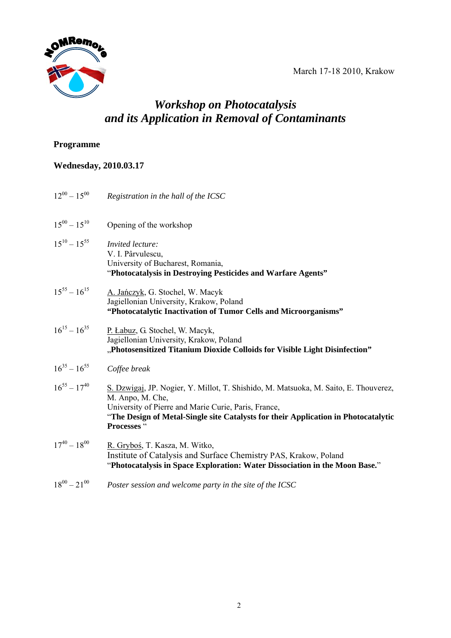March 17-18 2010, Krakow



# *Workshop on Photocatalysis and its Application in Removal of Contaminants*

#### **Programme**

## **Wednesday, 2010.03.17**

| $12^{00} - 15^{00}$ | Registration in the hall of the ICSC                                                                                                                                                                                                                                  |
|---------------------|-----------------------------------------------------------------------------------------------------------------------------------------------------------------------------------------------------------------------------------------------------------------------|
| $15^{00} - 15^{10}$ | Opening of the workshop                                                                                                                                                                                                                                               |
| $15^{10} - 15^{55}$ | Invited lecture:<br>V. I. Pârvulescu,<br>University of Bucharest, Romania,<br>"Photocatalysis in Destroying Pesticides and Warfare Agents"                                                                                                                            |
| $15^{55} - 16^{15}$ | A. Jańczyk, G. Stochel, W. Macyk<br>Jagiellonian University, Krakow, Poland<br>"Photocatalytic Inactivation of Tumor Cells and Microorganisms"                                                                                                                        |
| $16^{15} - 16^{35}$ | P. Łabuz, G. Stochel, W. Macyk,<br>Jagiellonian University, Krakow, Poland<br>"Photosensitized Titanium Dioxide Colloids for Visible Light Disinfection"                                                                                                              |
| $16^{35} - 16^{55}$ | Coffee break                                                                                                                                                                                                                                                          |
| $16^{55} - 17^{40}$ | S. Dzwigaj, JP. Nogier, Y. Millot, T. Shishido, M. Matsuoka, M. Saito, E. Thouverez,<br>M. Anpo, M. Che,<br>University of Pierre and Marie Curie, Paris, France,<br>"The Design of Metal-Single site Catalysts for their Application in Photocatalytic<br>Processes " |
| $17^{40} - 18^{00}$ | R. Gryboś, T. Kasza, M. Witko,<br>Institute of Catalysis and Surface Chemistry PAS, Krakow, Poland<br>"Photocatalysis in Space Exploration: Water Dissociation in the Moon Base."                                                                                     |
| $18^{00} - 21^{00}$ | Poster session and welcome party in the site of the ICSC                                                                                                                                                                                                              |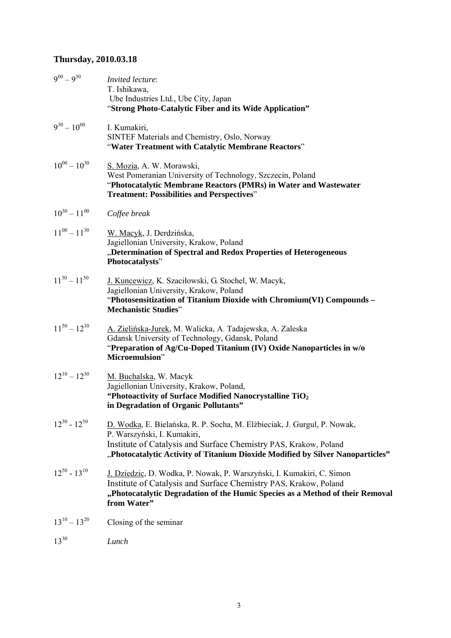## **Thursday, 2010.03.18**

| $9^{00} - 9^{30}$   | Invited lecture:<br>T. Ishikawa,<br>Ube Industries Ltd., Ube City, Japan<br>"Strong Photo-Catalytic Fiber and its Wide Application"                                                                                                                           |
|---------------------|---------------------------------------------------------------------------------------------------------------------------------------------------------------------------------------------------------------------------------------------------------------|
| $9^{30} - 10^{00}$  | I. Kumakiri,<br>SINTEF Materials and Chemistry, Oslo, Norway<br>"Water Treatment with Catalytic Membrane Reactors"                                                                                                                                            |
| $10^{00} - 10^{30}$ | S. Mozia, A. W. Morawski,<br>West Pomeranian University of Technology, Szczecin, Poland<br>"Photocatalytic Membrane Reactors (PMRs) in Water and Wastewater<br><b>Treatment: Possibilities and Perspectives"</b>                                              |
| $10^{30} - 11^{00}$ | Coffee break                                                                                                                                                                                                                                                  |
| $11^{00} - 11^{30}$ | W. Macyk, J. Derdzińska,<br>Jagiellonian University, Krakow, Poland<br>"Determination of Spectral and Redox Properties of Heterogeneous<br>Photocatalysts"                                                                                                    |
| $11^{30} - 11^{50}$ | J. Kuncewicz, K. Szaciłowski, G. Stochel, W. Macyk,<br>Jagiellonian University, Krakow, Poland<br>"Photosensitization of Titanium Dioxide with Chromium(VI) Compounds -<br><b>Mechanistic Studies"</b>                                                        |
| $11^{50} - 12^{10}$ | A. Zielińska-Jurek, M. Walicka, A. Tadajewska, A. Zaleska<br>Gdansk University of Technology, Gdansk, Poland<br>"Preparation of Ag/Cu-Doped Titanium (IV) Oxide Nanoparticles in w/o<br>Microemulsion"                                                        |
| $12^{10} - 12^{30}$ | M. Buchalska, W. Macyk<br>Jagiellonian University, Krakow, Poland,<br>"Photoactivity of Surface Modified Nanocrystalline TiO <sub>2</sub><br>in Degradation of Organic Pollutants"                                                                            |
| $12^{30} - 12^{50}$ | D. Wodka, E. Bielańska, R. P. Socha, M. Elżbieciak, J. Gurgul, P. Nowak,<br>P. Warszyński, I. Kumakiri,<br>Institute of Catalysis and Surface Chemistry PAS, Krakow, Poland<br>"Photocatalytic Activity of Titanium Dioxide Modified by Silver Nanoparticles" |
| $12^{50} - 13^{10}$ | J. Dziedzic, D. Wodka, P. Nowak, P. Warszyński, I. Kumakiri, C. Simon<br>Institute of Catalysis and Surface Chemistry PAS, Krakow, Poland<br>"Photocatalytic Degradation of the Humic Species as a Method of their Removal<br>from Water"                     |
| $13^{10} - 13^{20}$ | Closing of the seminar                                                                                                                                                                                                                                        |
| $13^{30}$           | Lunch                                                                                                                                                                                                                                                         |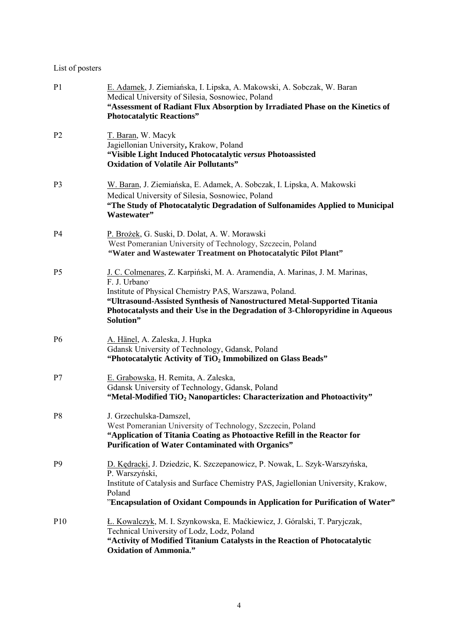#### List of posters

| P <sub>1</sub>  | E. Adamek, J. Ziemiańska, I. Lipska, A. Makowski, A. Sobczak, W. Baran<br>Medical University of Silesia, Sosnowiec, Poland<br>"Assessment of Radiant Flux Absorption by Irradiated Phase on the Kinetics of<br><b>Photocatalytic Reactions"</b>                                                                                  |
|-----------------|----------------------------------------------------------------------------------------------------------------------------------------------------------------------------------------------------------------------------------------------------------------------------------------------------------------------------------|
| P <sub>2</sub>  | T. Baran, W. Macyk<br>Jagiellonian University, Krakow, Poland<br>"Visible Light Induced Photocatalytic versus Photoassisted<br><b>Oxidation of Volatile Air Pollutants"</b>                                                                                                                                                      |
| P <sub>3</sub>  | W. Baran, J. Ziemiańska, E. Adamek, A. Sobczak, I. Lipska, A. Makowski<br>Medical University of Silesia, Sosnowiec, Poland<br>"The Study of Photocatalytic Degradation of Sulfonamides Applied to Municipal<br>Wastewater"                                                                                                       |
| P <sub>4</sub>  | P. Brożek, G. Suski, D. Dolat, A. W. Morawski<br>West Pomeranian University of Technology, Szczecin, Poland<br>"Water and Wastewater Treatment on Photocatalytic Pilot Plant"                                                                                                                                                    |
| P <sub>5</sub>  | J. C. Colmenares, Z. Karpiński, M. A. Aramendia, A. Marinas, J. M. Marinas,<br>F. J. Urbano<br>Institute of Physical Chemistry PAS, Warszawa, Poland.<br>"Ultrasound-Assisted Synthesis of Nanostructured Metal-Supported Titania<br>Photocatalysts and their Use in the Degradation of 3-Chloropyridine in Aqueous<br>Solution" |
| <b>P6</b>       | A. Hänel, A. Zaleska, J. Hupka<br>Gdansk University of Technology, Gdansk, Poland<br>"Photocatalytic Activity of TiO <sub>2</sub> Immobilized on Glass Beads"                                                                                                                                                                    |
| P7              | E. Grabowska, H. Remita, A. Zaleska,<br>Gdansk University of Technology, Gdansk, Poland<br>"Metal-Modified TiO <sub>2</sub> Nanoparticles: Characterization and Photoactivity"                                                                                                                                                   |
| P <sub>8</sub>  | J. Grzechulska-Damszel,<br>West Pomeranian University of Technology, Szczecin, Poland<br>"Application of Titania Coating as Photoactive Refill in the Reactor for<br><b>Purification of Water Contaminated with Organics"</b>                                                                                                    |
| P <sub>9</sub>  | D. Kędracki, J. Dziedzic, K. Szczepanowicz, P. Nowak, L. Szyk-Warszyńska,<br>P. Warszyński,<br>Institute of Catalysis and Surface Chemistry PAS, Jagiellonian University, Krakow,<br>Poland<br>"Encapsulation of Oxidant Compounds in Application for Purification of Water"                                                     |
| P <sub>10</sub> | Ł. Kowalczyk, M. I. Szynkowska, E. Maćkiewicz, J. Góralski, T. Paryjczak,<br>Technical University of Lodz, Lodz, Poland<br>"Activity of Modified Titanium Catalysts in the Reaction of Photocatalytic<br><b>Oxidation of Ammonia."</b>                                                                                           |